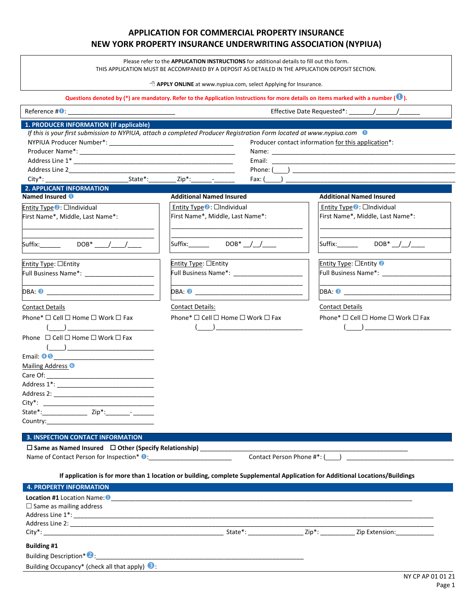# **APPLICATION FOR COMMERCIAL PROPERTY INSURANCE NEW YORK PROPERTY INSURANCE UNDERWRITING ASSOCIATION (NYPIUA)**

Please refer to the **APPLICATION INSTRUCTIONS** for additional details to fill out this form. THIS APPLICATION MUST BE ACCOMPANIED BY A DEPOSIT AS DETAILED IN THE APPLICATION DEPOSIT SECTION.

� **APPLY ONLINE** at www.nypiua.com, select Applying for Insurance.

| 1. PRODUCER INFORMATION (If applicable)                                        |                                                                                                                                  |                                                                                                                                                                                                                                            |
|--------------------------------------------------------------------------------|----------------------------------------------------------------------------------------------------------------------------------|--------------------------------------------------------------------------------------------------------------------------------------------------------------------------------------------------------------------------------------------|
|                                                                                | If this is your first submission to NYPIUA, attach a completed Producer Registration Form located at www.nypiua.com <sup>1</sup> |                                                                                                                                                                                                                                            |
|                                                                                |                                                                                                                                  | Producer contact information for this application*:                                                                                                                                                                                        |
|                                                                                |                                                                                                                                  |                                                                                                                                                                                                                                            |
|                                                                                |                                                                                                                                  |                                                                                                                                                                                                                                            |
|                                                                                |                                                                                                                                  |                                                                                                                                                                                                                                            |
| State*:                                                                        | $Zip^*: \begin{array}{ccc} \text{2ip}^*. & \end{array}$                                                                          |                                                                                                                                                                                                                                            |
| <b>2. APPLICANT INFORMATION</b>                                                |                                                                                                                                  |                                                                                                                                                                                                                                            |
| Named Insured <sup>0</sup>                                                     | <b>Additional Named Insured</b>                                                                                                  | <b>Additional Named Insured</b>                                                                                                                                                                                                            |
| Entity Type $\bullet$ : $\Box$ Individual                                      | Entity Type $\bullet$ : $\Box$ Individual                                                                                        | Entity Type $\bullet$ : $\Box$ Individual                                                                                                                                                                                                  |
| First Name*, Middle, Last Name*:                                               | First Name*, Middle, Last Name*:                                                                                                 | First Name*, Middle, Last Name*:                                                                                                                                                                                                           |
|                                                                                |                                                                                                                                  |                                                                                                                                                                                                                                            |
|                                                                                |                                                                                                                                  |                                                                                                                                                                                                                                            |
| $\textsf{Suffix:}\qquad \qquad \textsf{DOB*}\qquad\textit{/} \qquad\textit{/}$ | Suffix: $DOB^*$ / /                                                                                                              | $DOB^*$ _/_/___<br>Suffix: ____                                                                                                                                                                                                            |
|                                                                                |                                                                                                                                  |                                                                                                                                                                                                                                            |
| Entity Type: □Entity                                                           | Entity Type: OEntity                                                                                                             | Entity Type: $\Box$ Entity $\odot$                                                                                                                                                                                                         |
| Full Business Name*:                                                           |                                                                                                                                  |                                                                                                                                                                                                                                            |
|                                                                                |                                                                                                                                  |                                                                                                                                                                                                                                            |
| DBA: 3                                                                         |                                                                                                                                  |                                                                                                                                                                                                                                            |
| <b>Contact Details</b>                                                         | Contact Details:                                                                                                                 | <b>Contact Details</b>                                                                                                                                                                                                                     |
| Phone* $\Box$ Cell $\Box$ Home $\Box$ Work $\Box$ Fax                          | Phone* $\Box$ Cell $\Box$ Home $\Box$ Work $\Box$ Fax                                                                            | Phone* $\Box$ Cell $\Box$ Home $\Box$ Work $\Box$ Fax                                                                                                                                                                                      |
|                                                                                |                                                                                                                                  | $\overline{\phantom{a}}$ , and the contract of the contract of the contract of the contract of the contract of the contract of the contract of the contract of the contract of the contract of the contract of the contract of the contrac |
| Phone $\Box$ Cell $\Box$ Home $\Box$ Work $\Box$ Fax                           |                                                                                                                                  |                                                                                                                                                                                                                                            |
|                                                                                |                                                                                                                                  |                                                                                                                                                                                                                                            |
|                                                                                |                                                                                                                                  |                                                                                                                                                                                                                                            |
| Mailing Address <sup>6</sup>                                                   |                                                                                                                                  |                                                                                                                                                                                                                                            |
|                                                                                |                                                                                                                                  |                                                                                                                                                                                                                                            |
|                                                                                |                                                                                                                                  |                                                                                                                                                                                                                                            |
|                                                                                |                                                                                                                                  |                                                                                                                                                                                                                                            |
|                                                                                |                                                                                                                                  |                                                                                                                                                                                                                                            |
|                                                                                |                                                                                                                                  |                                                                                                                                                                                                                                            |
|                                                                                |                                                                                                                                  |                                                                                                                                                                                                                                            |
|                                                                                |                                                                                                                                  |                                                                                                                                                                                                                                            |
| <b>3. INSPECTION CONTACT INFORMATION</b>                                       |                                                                                                                                  |                                                                                                                                                                                                                                            |
| □ Same as Named Insured □ Other (Specify Relationship) __________              |                                                                                                                                  |                                                                                                                                                                                                                                            |
|                                                                                | Contact Person Phone #*: (                                                                                                       |                                                                                                                                                                                                                                            |
|                                                                                |                                                                                                                                  |                                                                                                                                                                                                                                            |
|                                                                                | If application is for more than 1 location or building, complete Supplemental Application for Additional Locations/Buildings     |                                                                                                                                                                                                                                            |
| <b>4. PROPERTY INFORMATION</b>                                                 |                                                                                                                                  |                                                                                                                                                                                                                                            |
| Location #1 Location Name: 0                                                   |                                                                                                                                  |                                                                                                                                                                                                                                            |

| Address Line 2:                  |        |       |                |
|----------------------------------|--------|-------|----------------|
| City*:                           | State* | Zip*· | Zip Extension: |
| <b>Building #1</b>               |        |       |                |
| <b>Building Description* 2</b> : |        |       |                |

Building Occupancy\* (check all that apply) **8**:

Address Line  $1^*$ :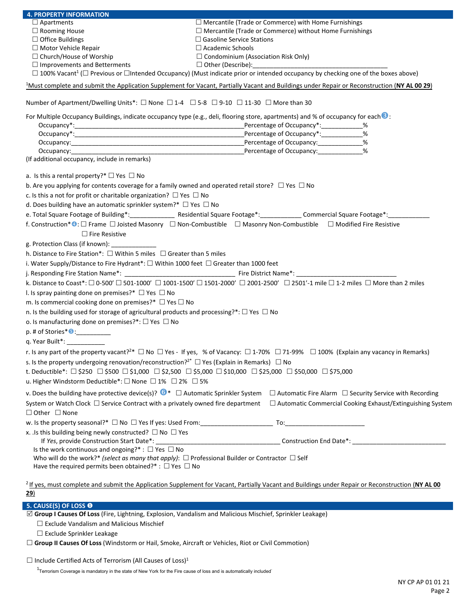| <b>4. PROPERTY INFORMATION</b>                                                                                      |                                                                                                                                                                                     |
|---------------------------------------------------------------------------------------------------------------------|-------------------------------------------------------------------------------------------------------------------------------------------------------------------------------------|
| $\Box$ Apartments                                                                                                   | $\Box$ Mercantile (Trade or Commerce) with Home Furnishings                                                                                                                         |
| $\Box$ Rooming House                                                                                                | $\Box$ Mercantile (Trade or Commerce) without Home Furnishings                                                                                                                      |
| $\Box$ Office Buildings                                                                                             | $\Box$ Gasoline Service Stations                                                                                                                                                    |
| $\Box$ Motor Vehicle Repair                                                                                         | $\Box$ Academic Schools                                                                                                                                                             |
| $\Box$ Church/House of Worship                                                                                      | $\Box$ Condominium (Association Risk Only)                                                                                                                                          |
| $\Box$ Improvements and Betterments                                                                                 | $\Box$ Other (Describe):<br><u> 1980 - Jan James James Barnett, martin eta idazlea (</u>                                                                                            |
|                                                                                                                     | $\Box$ 100% Vacant <sup>1</sup> ( $\Box$ Previous or $\Box$ Intended Occupancy) (Must indicate prior or intended occupancy by checking one of the boxes above)                      |
|                                                                                                                     | <sup>1</sup> Must complete and submit the Application Supplement for Vacant, Partially Vacant and Buildings under Repair or Reconstruction (NY AL 00 29)                            |
| Number of Apartment/Dwelling Units*: $\Box$ None $\Box$ 1-4 $\Box$ 5-8 $\Box$ 9-10 $\Box$ 11-30 $\Box$ More than 30 |                                                                                                                                                                                     |
|                                                                                                                     | For Multiple Occupancy Buildings, indicate occupancy type (e.g., deli, flooring store, apartments) and % of occupancy for each $\odot$ :<br>Percentage of Occupancy*: _____________ |
|                                                                                                                     | Percentage of Occupancy*:_____________<br>%                                                                                                                                         |
|                                                                                                                     | Percentage of Occupancy:______________%                                                                                                                                             |
|                                                                                                                     | %                                                                                                                                                                                   |
| (If additional occupancy, include in remarks)                                                                       |                                                                                                                                                                                     |
| a. Is this a rental property?* $\Box$ Yes $\Box$ No                                                                 |                                                                                                                                                                                     |
| b. Are you applying for contents coverage for a family owned and operated retail store? $\Box$ Yes $\Box$ No        |                                                                                                                                                                                     |
| c. Is this a not for profit or charitable organization? $\Box$ Yes $\Box$ No                                        |                                                                                                                                                                                     |
| d. Does building have an automatic sprinkler system?* $\Box$ Yes $\Box$ No                                          |                                                                                                                                                                                     |
|                                                                                                                     | e. Total Square Footage of Building*: _________________ Residential Square Footage*: ____________ Commercial Square Footage*: _____________                                         |
|                                                                                                                     |                                                                                                                                                                                     |
|                                                                                                                     | f. Construction* · C Frame □ Joisted Masonry □ Non-Combustible □ Masonry Non-Combustible □ Modified Fire Resistive                                                                  |
| $\Box$ Fire Resistive                                                                                               |                                                                                                                                                                                     |
| g. Protection Class (if known): ______________                                                                      |                                                                                                                                                                                     |
| h. Distance to Fire Station*: $\Box$ Within 5 miles $\Box$ Greater than 5 miles                                     |                                                                                                                                                                                     |
| i. Water Supply/Distance to Fire Hydrant*: $\Box$ Within 1000 feet $\Box$ Greater than 1000 feet                    |                                                                                                                                                                                     |
|                                                                                                                     |                                                                                                                                                                                     |
|                                                                                                                     | k. Distance to Coast*: □ 0-500' □ 501-1000' □ 1001-1500' □ 1501-2000' □ 2001-2500' □ 2501'-1 mile □ 1-2 miles □ More than 2 miles                                                   |
| I. Is spray painting done on premises?* $\Box$ Yes $\Box$ No                                                        |                                                                                                                                                                                     |
| m. Is commercial cooking done on premises?* $\Box$ Yes $\Box$ No                                                    |                                                                                                                                                                                     |
| n. Is the building used for storage of agricultural products and processing?*: $\Box$ Yes $\Box$ No                 |                                                                                                                                                                                     |
| o. Is manufacturing done on premises?*: □ Yes □ No                                                                  |                                                                                                                                                                                     |
|                                                                                                                     |                                                                                                                                                                                     |
| $p.$ # of Stories* $\bigcirc$ :                                                                                     |                                                                                                                                                                                     |
| q. Year Built*: _____________                                                                                       |                                                                                                                                                                                     |
|                                                                                                                     | r. Is any part of the property vacant? <sup>2*</sup> $\Box$ No $\Box$ Yes - If yes, % of Vacancy: $\Box$ 1-70% $\Box$ 71-99% $\Box$ 100% (Explain any vacancy in Remarks)           |
| s. Is the property undergoing renovation/reconstruction? <sup>2*</sup> $\Box$ Yes (Explain in Remarks) $\Box$ No    |                                                                                                                                                                                     |
|                                                                                                                     | t. Deductible*: $\Box$ \$250 $\Box$ \$500 $\Box$ \$1,000 $\Box$ \$2,500 $\Box$ \$5,000 $\Box$ \$10,000 $\Box$ \$25,000 $\Box$ \$75,000 $\Box$ \$75,000                              |
| u. Higher Windstorm Deductible*: □ None □ 1% □ 2% □ 5%                                                              |                                                                                                                                                                                     |
| v. Does the building have protective device(s)? $\bullet^*$ $\Box$ Automatic Sprinkler System                       |                                                                                                                                                                                     |
|                                                                                                                     | $\Box$ Automatic Fire Alarm $\Box$ Security Service with Recording                                                                                                                  |
| System or Watch Clock $\Box$ Service Contract with a privately owned fire department                                | $\Box$ Automatic Commercial Cooking Exhaust/Extinguishing System                                                                                                                    |
| $\Box$ Other $\Box$ None                                                                                            |                                                                                                                                                                                     |
|                                                                                                                     |                                                                                                                                                                                     |
| x. . Is this building being newly constructed? $\Box$ No $\Box$ Yes                                                 |                                                                                                                                                                                     |
| If Yes, provide Construction Start Date*:                                                                           |                                                                                                                                                                                     |
| Is the work continuous and ongoing?*: $\Box$ Yes $\Box$ No                                                          |                                                                                                                                                                                     |
| Who will do the work?* (select as many that apply): $\Box$ Professional Builder or Contractor $\Box$ Self           |                                                                                                                                                                                     |
| Have the required permits been obtained?* : $\Box$ Yes $\Box$ No                                                    |                                                                                                                                                                                     |
|                                                                                                                     |                                                                                                                                                                                     |
|                                                                                                                     | <sup>2</sup> If yes, must complete and submit the Application Supplement for Vacant, Partially Vacant and Buildings under Repair or Reconstruction (NY AL 00                        |
| 29)                                                                                                                 |                                                                                                                                                                                     |

# **5. CAUSE(S) OF LOSS** ❶

☑ **Group I Causes Of Loss** (Fire, Lightning, Explosion, Vandalism and Malicious Mischief, Sprinkler Leakage)

⬜ Exclude Vandalism and Malicious Mischief

⬜ Exclude Sprinkler Leakage

⬜ **Group II Causes Of Loss** (Windstorm or Hail, Smoke, Aircraft or Vehicles, Riot or Civil Commotion)

 $\square$  Include Certified Acts of Terrorism (All Causes of Loss)<sup>1</sup>

 $1$ Terrorism Coverage is mandatory in the state of New York for the Fire cause of loss and is automatically included<sup>-</sup>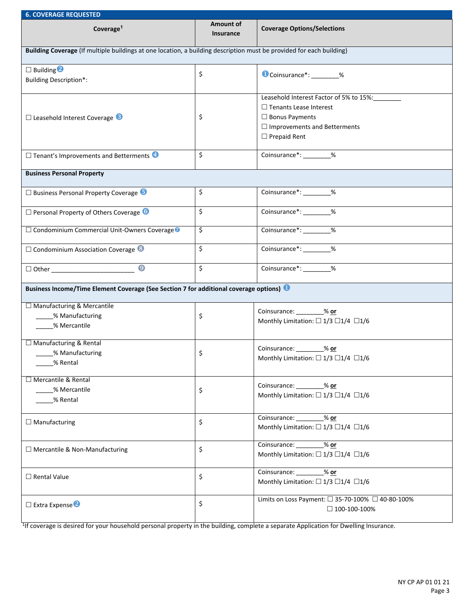| <b>6. COVERAGE REQUESTED</b>                                                                                         |                               |                                                                                                                                                                 |  |  |
|----------------------------------------------------------------------------------------------------------------------|-------------------------------|-----------------------------------------------------------------------------------------------------------------------------------------------------------------|--|--|
| Coverage <sup>1</sup>                                                                                                | Amount of<br><b>Insurance</b> | <b>Coverage Options/Selections</b>                                                                                                                              |  |  |
| Building Coverage (If multiple buildings at one location, a building description must be provided for each building) |                               |                                                                                                                                                                 |  |  |
| $\Box$ Building $\Box$<br><b>Building Description*:</b>                                                              | \$                            | Coinsurance*: 620                                                                                                                                               |  |  |
| $\Box$ Leasehold Interest Coverage $\Box$                                                                            | \$                            | Leasehold Interest Factor of 5% to 15%:<br>$\Box$ Tenants Lease Interest<br>$\Box$ Bonus Payments<br>$\Box$ Improvements and Betterments<br>$\Box$ Prepaid Rent |  |  |
| $\Box$ Tenant's Improvements and Betterments                                                                         | \$                            | Coinsurance*: ________%                                                                                                                                         |  |  |
| <b>Business Personal Property</b>                                                                                    |                               |                                                                                                                                                                 |  |  |
| □ Business Personal Property Coverage 5                                                                              | \$                            | Coinsurance*: ________%                                                                                                                                         |  |  |
| $\square$ Personal Property of Others Coverage $\bigcirc$                                                            | \$                            | Coinsurance*: _______ %                                                                                                                                         |  |  |
| □ Condominium Commercial Unit-Owners Coverage                                                                        | \$                            | Coinsurance <sup>*</sup> : ________ %                                                                                                                           |  |  |
| $\Box$ Condominium Association Coverage $\odot$                                                                      | \$                            |                                                                                                                                                                 |  |  |
| $\boldsymbol{Q}$                                                                                                     | \$                            | Coinsurance <sup>*</sup> : ___________ %                                                                                                                        |  |  |
| Business Income/Time Element Coverage (See Section 7 for additional coverage options)                                |                               |                                                                                                                                                                 |  |  |
| □ Manufacturing & Mercantile<br>__% Manufacturing<br>% Mercantile                                                    | \$                            | Coinsurance: 600 % or<br>Monthly Limitation: $\Box$ 1/3 $\Box$ 1/4 $\Box$ 1/6                                                                                   |  |  |
| □ Manufacturing & Rental<br>% Manufacturing<br>% Rental                                                              | \$                            | Coinsurance: ________% or<br>Monthly Limitation: $\Box$ 1/3 $\Box$ 1/4 $\Box$ 1/6                                                                               |  |  |
| □ Mercantile & Rental<br>% Mercantile<br>% Rental                                                                    | \$                            | Coinsurance: % or<br>Monthly Limitation: $\Box$ 1/3 $\Box$ 1/4 $\Box$ 1/6                                                                                       |  |  |
| $\Box$ Manufacturing                                                                                                 | \$                            | Coinsurance: % or<br>Monthly Limitation: $\Box$ 1/3 $\Box$ 1/4 $\Box$ 1/6                                                                                       |  |  |
| □ Mercantile & Non-Manufacturing                                                                                     | \$                            | Coinsurance: 36 or<br>Monthly Limitation: $\Box$ 1/3 $\Box$ 1/4 $\Box$ 1/6                                                                                      |  |  |
| $\Box$ Rental Value                                                                                                  | \$                            | Coinsurance: % or<br>Monthly Limitation: $\Box$ 1/3 $\Box$ 1/4 $\Box$ 1/6                                                                                       |  |  |
| $\square$ Extra Expense                                                                                              | \$                            | Limits on Loss Payment: □ 35-70-100% □ 40-80-100%<br>$\Box$ 100-100-100%                                                                                        |  |  |

<sup>1</sup>If coverage is desired for your household personal property in the building, complete a separate Application for Dwelling Insurance.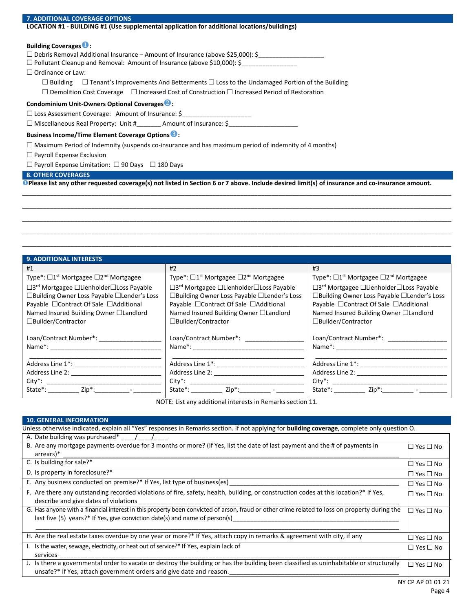### **7. ADDITIONAL COVERAGE OPTIONS**

## **LOCATION #1 - BUILDING #1 (Use supplemental application for additional locations/buildings)**

## **Building Coverages**❶**:**

□ Debris Removal Additional Insurance – Amount of Insurance (above \$25,000): \$

 $\Box$  Pollutant Cleanup and Removal: Amount of Insurance (above \$10,000): \$

□ Ordinance or Law:

 $\Box$  Building  $\Box$  Tenant's Improvements And Betterments  $\Box$  Loss to the Undamaged Portion of the Building

 $\Box$  Demolition Cost Coverage  $\Box$  Increased Cost of Construction  $\Box$  Increased Period of Restoration

## **Condominium Unit-Owners Optional Coverages**❷**:**

 $\Box$  Loss Assessment Coverage: Amount of Insurance: \$

□ Miscellaneous Real Property: Unit #\_\_\_\_\_\_\_\_\_ Amount of Insurance: \$\_

## **Business Income/Time Element Coverage Options**❸**:**

 $\Box$  Maximum Period of Indemnity (suspends co-insurance and has maximum period of indemnity of 4 months)

## ⬜ Payroll Expense Exclusion

 $\Box$  Payroll Expense Limitation:  $\Box$  90 Days  $\Box$  180 Days

# **8. OTHER COVERAGES**

❶**Please list any other requested coverage(s) not listed in Section 6 or 7 above. Include desired limit(s) of insurance and co-insurance amount.**

\_\_\_\_\_\_\_\_\_\_\_\_\_\_\_\_\_\_\_\_\_\_\_\_\_\_\_\_\_\_\_\_\_\_\_\_\_\_\_\_\_\_\_\_\_\_\_\_\_\_\_\_\_\_\_\_\_\_\_\_\_\_\_\_\_\_\_\_\_\_\_\_\_\_\_\_\_\_\_\_\_\_\_\_\_\_\_\_\_\_\_\_\_\_\_\_\_\_\_\_\_\_\_\_\_\_\_\_\_\_\_\_\_\_\_\_\_\_\_\_\_\_\_\_ \_\_\_\_\_\_\_\_\_\_\_\_\_\_\_\_\_\_\_\_\_\_\_\_\_\_\_\_\_\_\_\_\_\_\_\_\_\_\_\_\_\_\_\_\_\_\_\_\_\_\_\_\_\_\_\_\_\_\_\_\_\_\_\_\_\_\_\_\_\_\_\_\_\_\_\_\_\_\_\_\_\_\_\_\_\_\_\_\_\_\_\_\_\_\_\_\_\_\_\_\_\_\_\_\_\_\_\_\_\_\_\_\_\_\_\_\_\_\_\_\_\_\_\_ \_\_\_\_\_\_\_\_\_\_\_\_\_\_\_\_\_\_\_\_\_\_\_\_\_\_\_\_\_\_\_\_\_\_\_\_\_\_\_\_\_\_\_\_\_\_\_\_\_\_\_\_\_\_\_\_\_\_\_\_\_\_\_\_\_\_\_\_\_\_\_\_\_\_\_\_\_\_\_\_\_\_\_\_\_\_\_\_\_\_\_\_\_\_\_\_\_\_\_\_\_\_\_\_\_\_\_\_\_\_\_\_\_\_\_\_\_\_\_\_\_\_\_\_ \_\_\_\_\_\_\_\_\_\_\_\_\_\_\_\_\_\_\_\_\_\_\_\_\_\_\_\_\_\_\_\_\_\_\_\_\_\_\_\_\_\_\_\_\_\_\_\_\_\_\_\_\_\_\_\_\_\_\_\_\_\_\_\_\_\_\_\_\_\_\_\_\_\_\_\_\_\_\_\_\_\_\_\_\_\_\_\_\_\_\_\_\_\_\_\_\_\_\_\_\_\_\_\_\_\_\_\_\_\_\_\_\_\_\_\_\_\_\_\_\_\_\_\_

| <b>9. ADDITIONAL INTERESTS</b>                               |                                                              |                                                              |
|--------------------------------------------------------------|--------------------------------------------------------------|--------------------------------------------------------------|
| #1                                                           | #2                                                           | #3                                                           |
| Type*: □1 <sup>st</sup> Mortgagee □2 <sup>nd</sup> Mortgagee | Type*: □1 <sup>st</sup> Mortgagee □2 <sup>nd</sup> Mortgagee | Type*: □1 <sup>st</sup> Mortgagee □2 <sup>nd</sup> Mortgagee |
| □3 <sup>rd</sup> Mortgagee □Lienholder□Loss Payable          | □3 <sup>rd</sup> Mortgagee □Lienholder□Loss Payable          | □3 <sup>rd</sup> Mortgagee □Lienholder□Loss Payable          |
| □Building Owner Loss Payable □Lender's Loss                  | □Building Owner Loss Payable □Lender's Loss                  | □Building Owner Loss Payable □Lender's Loss                  |
| Payable □ Contract Of Sale □ Additional                      | Payable □ Contract Of Sale □ Additional                      | Payable □ Contract Of Sale □ Additional                      |
| Named Insured Building Owner □Landlord                       | Named Insured Building Owner □Landlord                       | Named Insured Building Owner □Landlord                       |
| □Builder/Contractor                                          | □Builder/Contractor                                          | □Builder/Contractor                                          |
| Loan/Contract Number*: ____________                          | Loan/Contract Number*:                                       | Loan/Contract Number*:                                       |
| Name <sup>*</sup> :                                          | Name <sup>*</sup> :                                          |                                                              |
| Address Line 1 <sup>*</sup> :                                | Address Line 1 <sup>*</sup> :                                | Address Line 1 <sup>*</sup> :                                |
| Address Line 2:                                              | Address Line 2:                                              | Address Line 2:                                              |
| $City^*$ :                                                   | $City^*$ :                                                   | $\mathsf{City}^*$ :                                          |
| State <sup>*</sup> :                                         | State <sup>*</sup> :                                         | State <sup>*</sup> :                                         |
| Zip*:                                                        | Zip*:                                                        | Zip*:                                                        |

NOTE: List any additional interests in Remarks section 11.

| <b>10. GENERAL INFORMATION</b>                                                                                                                                                                                                 |                            |
|--------------------------------------------------------------------------------------------------------------------------------------------------------------------------------------------------------------------------------|----------------------------|
| Unless otherwise indicated, explain all "Yes" responses in Remarks section. If not applying for <b>building coverage</b> , complete only question O.                                                                           |                            |
| A. Date building was purchased*                                                                                                                                                                                                |                            |
| B. Are any mortgage payments overdue for 3 months or more? (If Yes, list the date of last payment and the # of payments in<br>arrears)*                                                                                        | $\square$ Yes $\square$ No |
| C. Is building for sale?*                                                                                                                                                                                                      | □ Yes □ No                 |
| D. Is property in foreclosure?*                                                                                                                                                                                                | $\square$ Yes $\square$ No |
| E. Any business conducted on premise?* If Yes, list type of business(es)                                                                                                                                                       | $\square$ Yes $\square$ No |
| F. Are there any outstanding recorded violations of fire, safety, health, building, or construction codes at this location?* If Yes,<br>describe and give dates of violations                                                  | □ Yes □ No                 |
| G. Has anyone with a financial interest in this property been convicted of arson, fraud or other crime related to loss on property during the<br>last five $(5)$ years?* If Yes, give conviction date(s) and name of person(s) | □ Yes □ No                 |
| H. Are the real estate taxes overdue by one year or more?* If Yes, attach copy in remarks & agreement with city, if any                                                                                                        | $\Box$ Yes $\Box$ No       |
| I. Is the water, sewage, electricity, or heat out of service?* If Yes, explain lack of<br>services                                                                                                                             | □ Yes □ No                 |
| Is there a governmental order to vacate or destroy the building or has the building been classified as uninhabitable or structurally<br>unsafe?* If Yes, attach government orders and give date and reason.                    | □ Yes □ No                 |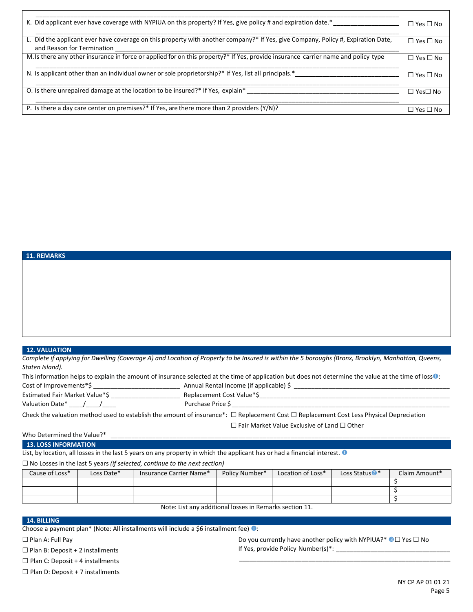| K. Did applicant ever have coverage with NYPIUA on this property? If Yes, give policy # and expiration date.*                                                  | コ Yes □ No                 |
|----------------------------------------------------------------------------------------------------------------------------------------------------------------|----------------------------|
| L. Did the applicant ever have coverage on this property with another company?* If Yes, give Company, Policy #, Expiration Date,<br>and Reason for Termination | $\Box$ Yes $\Box$ No       |
| M. Is there any other insurance in force or applied for on this property?* If Yes, provide insurance carrier name and policy type                              | $\square$ Yes $\square$ No |
| N. Is applicant other than an individual owner or sole proprietorship?* If Yes, list all principals.*                                                          | $Yes \Box$ No              |
| O. Is there unrepaired damage at the location to be insured?* If Yes, explain*                                                                                 | Yes□ No                    |
| P. Is there a day care center on premises?* If Yes, are there more than 2 providers $(Y/N)$ ?                                                                  | コ Yes □ No                 |

# **11. REMARKS**

# **12. VALUATION**

*Complete if applying for Dwelling (Coverage A) and Location of Property to be Insured is within the 5 boroughs (Bronx, Brooklyn, Manhattan, Queens, Staten Island).*

| This information helps to explain the amount of insurance selected at the time of application but does not determine the value at the time of loss $\bullet$ : |                                                                                                                                                   |  |  |
|----------------------------------------------------------------------------------------------------------------------------------------------------------------|---------------------------------------------------------------------------------------------------------------------------------------------------|--|--|
| Cost of Improvements*\$                                                                                                                                        | Annual Rental Income (if applicable) \$                                                                                                           |  |  |
| Estimated Fair Market Value*\$                                                                                                                                 | Replacement Cost Value*\$                                                                                                                         |  |  |
| Valuation Date* / /                                                                                                                                            | Purchase Price S                                                                                                                                  |  |  |
|                                                                                                                                                                | Check the valuation method used to establish the amount of insurance*: $\Box$ Replacement Cost $\Box$ Replacement Cost Less Physical Depreciation |  |  |

☐ Fair Market Value Exclusive of Land ☐ Other

## Who Determined the Value?\*

**13. LOSS INFORMATION**

List, by location, all losses in the last 5 years on any property in which the applicant has or had a financial interest.  $\bullet$ 

### ☐ No Losses in the last 5 years *(if selected, continue to the next section)*

| Cause of Loss* | Loss Date* | Insurance Carrier Name* | Policy Number* | Location of Loss* | Loss Status <sup>2</sup> * | Claim Amount* |
|----------------|------------|-------------------------|----------------|-------------------|----------------------------|---------------|
|                |            |                         |                |                   |                            |               |
|                |            |                         |                |                   |                            |               |
|                |            |                         |                |                   |                            |               |

Note: List any additional losses in Remarks section 11.

#### **14. BILLING**

Choose a payment plan\* (Note: All installments will include a \$6 installment fee) �:

□ Plan A: Full Pay

 $\Box$  Plan B: Deposit + 2 installments

 $\Box$  Plan C: Deposit + 4 installments

 $\Box$  Plan D: Deposit + 7 installments

Do you currently have another policy with NYPIUA?\* <sup>●</sup>□ Yes □ No If Yes, provide Policy Number(s)\*: \_\_\_\_\_\_\_\_\_\_\_\_\_\_\_\_\_\_\_\_\_\_\_\_\_\_\_\_\_\_\_\_\_

\_\_\_\_\_\_\_\_\_\_\_\_\_\_\_\_\_\_\_\_\_\_\_\_\_\_\_\_\_\_\_\_\_\_\_\_\_\_\_\_\_\_\_\_\_\_\_\_\_\_\_\_\_\_\_\_\_\_\_\_\_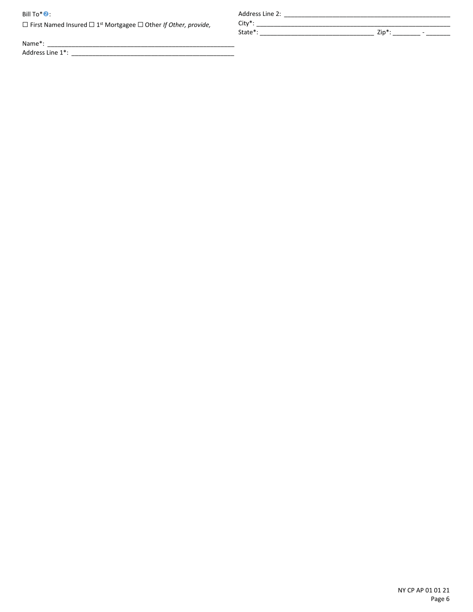## Bill To\*<sup>O</sup>:

☐ First Named Insured ☐ 1st Mortgagee ☐ Other *If Other, provide,*

Name\*: \_\_\_\_\_\_\_\_\_\_\_\_\_\_\_\_\_\_\_\_\_\_\_\_\_\_\_\_\_\_\_\_\_\_\_\_\_\_\_\_\_\_\_\_\_\_\_\_\_\_\_\_\_\_

Address Line 1\*: \_\_\_\_\_\_\_\_\_\_\_\_\_\_\_\_\_\_\_\_\_\_\_\_\_\_\_\_\_\_\_\_\_\_\_\_\_\_\_\_\_\_\_\_\_\_\_

Address Line 2: \_\_\_\_\_\_\_\_\_\_\_\_\_\_\_\_\_\_\_\_\_\_\_\_\_\_\_\_\_\_\_\_\_\_\_\_\_\_\_\_\_\_\_\_\_\_\_\_ City\*: \_\_\_\_\_\_\_\_\_\_\_\_\_\_\_\_\_\_\_\_\_\_\_\_\_\_\_\_\_\_\_\_\_\_\_\_\_\_\_\_\_\_\_\_\_\_\_\_\_\_\_\_\_\_\_\_

State\*: \_\_\_\_\_\_\_\_\_\_\_\_\_\_\_\_\_\_\_\_\_\_\_\_\_\_\_\_\_\_\_\_\_ Zip\*: \_\_\_\_\_\_\_\_ - \_\_\_\_\_\_\_